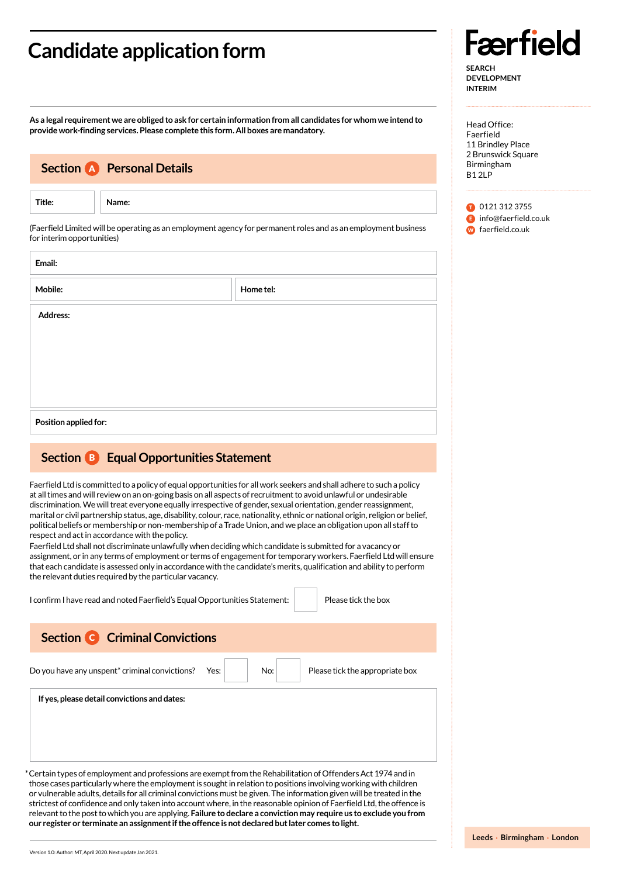### **Candidate application form**

**As a legal requirement we are obliged to ask for certain information from all candidates for whom we intend to provide work-finding services. Please complete this form. All boxes are mandatory.**

|                            | <b>Section A</b> Personal Details                                                                                                                                                                                                                                                                                                                                                                                                                                                                                                                                                                                                                                                                                                                                                                                                                                                                                                                                                                                                                                                           |
|----------------------------|---------------------------------------------------------------------------------------------------------------------------------------------------------------------------------------------------------------------------------------------------------------------------------------------------------------------------------------------------------------------------------------------------------------------------------------------------------------------------------------------------------------------------------------------------------------------------------------------------------------------------------------------------------------------------------------------------------------------------------------------------------------------------------------------------------------------------------------------------------------------------------------------------------------------------------------------------------------------------------------------------------------------------------------------------------------------------------------------|
| Title:                     | Name:                                                                                                                                                                                                                                                                                                                                                                                                                                                                                                                                                                                                                                                                                                                                                                                                                                                                                                                                                                                                                                                                                       |
| for interim opportunities) | (Faerfield Limited will be operating as an employment agency for permanent roles and as an employment business                                                                                                                                                                                                                                                                                                                                                                                                                                                                                                                                                                                                                                                                                                                                                                                                                                                                                                                                                                              |
| Email:                     |                                                                                                                                                                                                                                                                                                                                                                                                                                                                                                                                                                                                                                                                                                                                                                                                                                                                                                                                                                                                                                                                                             |
| Mobile:                    | Home tel:                                                                                                                                                                                                                                                                                                                                                                                                                                                                                                                                                                                                                                                                                                                                                                                                                                                                                                                                                                                                                                                                                   |
| Address:                   |                                                                                                                                                                                                                                                                                                                                                                                                                                                                                                                                                                                                                                                                                                                                                                                                                                                                                                                                                                                                                                                                                             |
|                            |                                                                                                                                                                                                                                                                                                                                                                                                                                                                                                                                                                                                                                                                                                                                                                                                                                                                                                                                                                                                                                                                                             |
|                            |                                                                                                                                                                                                                                                                                                                                                                                                                                                                                                                                                                                                                                                                                                                                                                                                                                                                                                                                                                                                                                                                                             |
|                            |                                                                                                                                                                                                                                                                                                                                                                                                                                                                                                                                                                                                                                                                                                                                                                                                                                                                                                                                                                                                                                                                                             |
| Position applied for:      |                                                                                                                                                                                                                                                                                                                                                                                                                                                                                                                                                                                                                                                                                                                                                                                                                                                                                                                                                                                                                                                                                             |
|                            |                                                                                                                                                                                                                                                                                                                                                                                                                                                                                                                                                                                                                                                                                                                                                                                                                                                                                                                                                                                                                                                                                             |
|                            | <b>Section B</b> Equal Opportunities Statement                                                                                                                                                                                                                                                                                                                                                                                                                                                                                                                                                                                                                                                                                                                                                                                                                                                                                                                                                                                                                                              |
|                            | Faerfield Ltd is committed to a policy of equal opportunities for all work seekers and shall adhere to such a policy<br>at all times and will review on an on-going basis on all aspects of recruitment to avoid unlawful or undesirable<br>discrimination. We will treat everyone equally irrespective of gender, sexual orientation, gender reassignment,<br>marital or civil partnership status, age, disability, colour, race, nationality, ethnic or national origin, religion or belief,<br>political beliefs or membership or non-membership of a Trade Union, and we place an obligation upon all staff to<br>respect and act in accordance with the policy.<br>Faerfield Ltd shall not discriminate unlawfully when deciding which candidate is submitted for a vacancy or<br>assignment, or in any terms of employment or terms of engagement for temporary workers. Faerfield Ltd will ensure<br>that each candidate is assessed only in accordance with the candidate's merits, qualification and ability to perform<br>the relevant duties required by the particular vacancy. |
|                            | Please tick the box<br>I confirm I have read and noted Faerfield's Equal Opportunities Statement:                                                                                                                                                                                                                                                                                                                                                                                                                                                                                                                                                                                                                                                                                                                                                                                                                                                                                                                                                                                           |
|                            | <b>Section C</b> Criminal Convictions                                                                                                                                                                                                                                                                                                                                                                                                                                                                                                                                                                                                                                                                                                                                                                                                                                                                                                                                                                                                                                                       |
|                            |                                                                                                                                                                                                                                                                                                                                                                                                                                                                                                                                                                                                                                                                                                                                                                                                                                                                                                                                                                                                                                                                                             |
|                            | Please tick the appropriate box<br>Do you have any unspent <sup>*</sup> criminal convictions?<br>No:<br>Yes:                                                                                                                                                                                                                                                                                                                                                                                                                                                                                                                                                                                                                                                                                                                                                                                                                                                                                                                                                                                |
|                            | If yes, please detail convictions and dates:                                                                                                                                                                                                                                                                                                                                                                                                                                                                                                                                                                                                                                                                                                                                                                                                                                                                                                                                                                                                                                                |
|                            |                                                                                                                                                                                                                                                                                                                                                                                                                                                                                                                                                                                                                                                                                                                                                                                                                                                                                                                                                                                                                                                                                             |

those cases particularly where the employment is sought in relation to positions involving working with children or vulnerable adults, details for all criminal convictions must be given. The information given will be treated in the strictest of confidence and only taken into account where, in the reasonable opinion of Faerfield Ltd, the offence is relevant to the post to which you are applying. **Failure to declare a conviction may require us to exclude you from our register or terminate an assignment if the offence is not declared but later comes to light.**

## **Færfield**

**SEARCH DEVELOPMENT INTERIM**

Head Office: Faerfield 11 Brindley Place 2 Brunswick Square Birmingham B1 2LP

**D** 0121 312 3755 **E** info@faerfield.co.uk **W** faerfield.co.uk